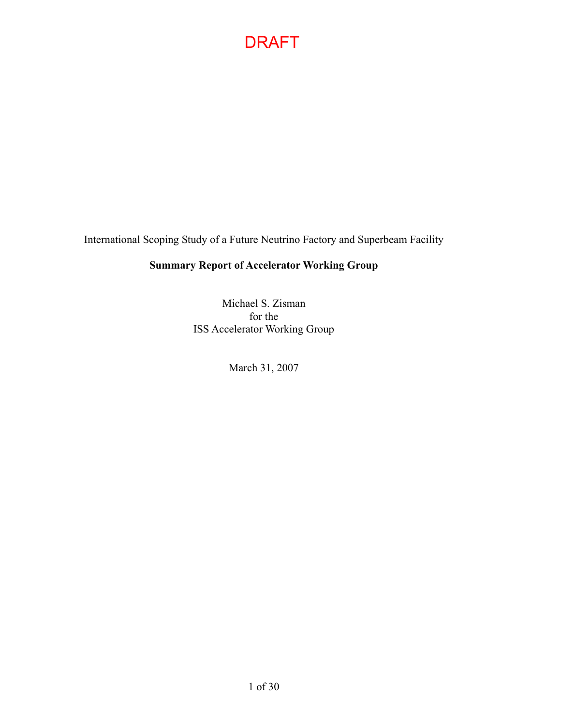International Scoping Study of a Future Neutrino Factory and Superbeam Facility

### **Summary Report of Accelerator Working Group**

Michael S. Zisman for the ISS Accelerator Working Group

March 31, 2007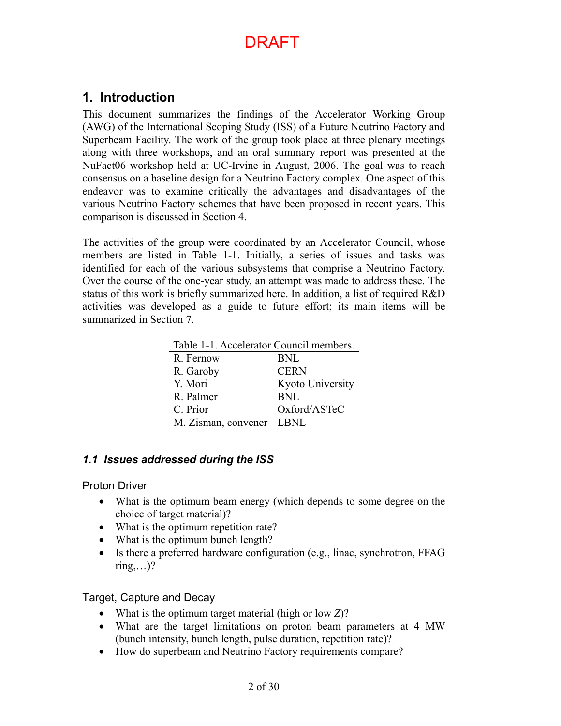### **1. Introduction**

This document summarizes the findings of the Accelerator Working Group (AWG) of the International Scoping Study (ISS) of a Future Neutrino Factory and Superbeam Facility. The work of the group took place at three plenary meetings along with three workshops, and an oral summary report was presented at the NuFact06 workshop held at UC-Irvine in August, 2006. The goal was to reach consensus on a baseline design for a Neutrino Factory complex. One aspect of this endeavor was to examine critically the advantages and disadvantages of the various Neutrino Factory schemes that have been proposed in recent years. This comparison is discussed in Section 4.

The activities of the group were coordinated by an Accelerator Council, whose members are listed in Table 1-1. Initially, a series of issues and tasks was identified for each of the various subsystems that comprise a Neutrino Factory. Over the course of the one-year study, an attempt was made to address these. The status of this work is briefly summarized here. In addition, a list of required R&D activities was developed as a guide to future effort; its main items will be summarized in Section 7.

| Table 1-1. Accelerator Council members. |  |
|-----------------------------------------|--|
|                                         |  |

| R. Fernow                | BNL              |
|--------------------------|------------------|
| R. Garoby                | <b>CERN</b>      |
| Y. Mori                  | Kyoto University |
| R. Palmer                | BNL              |
| C. Prior                 | Oxford/ASTeC     |
| M. Zisman, convener LBNL |                  |

### *1.1 Issues addressed during the ISS*

#### Proton Driver

- What is the optimum beam energy (which depends to some degree on the choice of target material)?
- What is the optimum repetition rate?
- What is the optimum bunch length?
- Is there a preferred hardware configuration (e.g., linac, synchrotron, FFAG  $ring...$ )?

### Target, Capture and Decay

- What is the optimum target material (high or low *Z*)?
- What are the target limitations on proton beam parameters at 4 MW (bunch intensity, bunch length, pulse duration, repetition rate)?
- How do superbeam and Neutrino Factory requirements compare?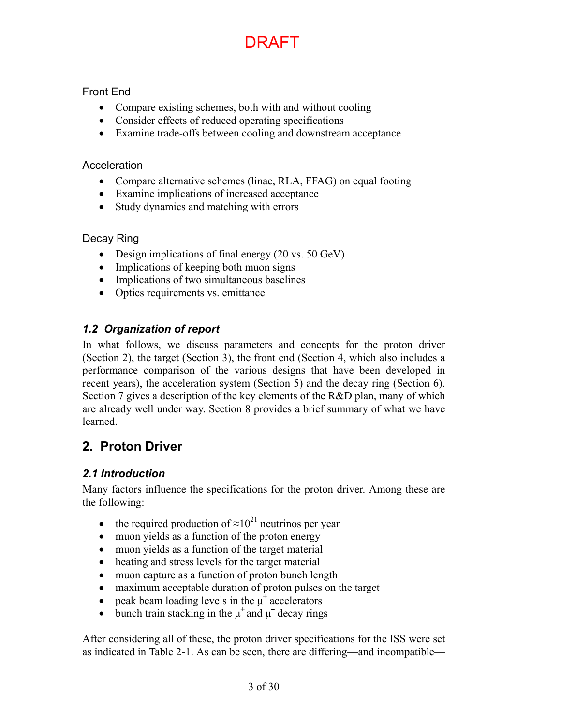### Front End

- Compare existing schemes, both with and without cooling
- Consider effects of reduced operating specifications
- Examine trade-offs between cooling and downstream acceptance

#### Acceleration

- Compare alternative schemes (linac, RLA, FFAG) on equal footing
- Examine implications of increased acceptance
- Study dynamics and matching with errors

#### Decay Ring

- Design implications of final energy (20 vs. 50 GeV)
- Implications of keeping both muon signs
- Implications of two simultaneous baselines
- Optics requirements vs. emittance

### *1.2 Organization of report*

In what follows, we discuss parameters and concepts for the proton driver (Section 2), the target (Section 3), the front end (Section 4, which also includes a performance comparison of the various designs that have been developed in recent years), the acceleration system (Section 5) and the decay ring (Section 6). Section 7 gives a description of the key elements of the R&D plan, many of which are already well under way. Section 8 provides a brief summary of what we have learned.

### **2. Proton Driver**

### *2.1 Introduction*

Many factors influence the specifications for the proton driver. Among these are the following:

- the required production of  $\approx 10^{21}$  neutrinos per year
- muon yields as a function of the proton energy
- muon yields as a function of the target material
- heating and stress levels for the target material
- muon capture as a function of proton bunch length
- maximum acceptable duration of proton pulses on the target
- peak beam loading levels in the  $\mu^{\pm}$  accelerators
- bunch train stacking in the  $\mu^+$  and  $\mu^-$  decay rings

After considering all of these, the proton driver specifications for the ISS were set as indicated in Table 2-1. As can be seen, there are differing—and incompatible—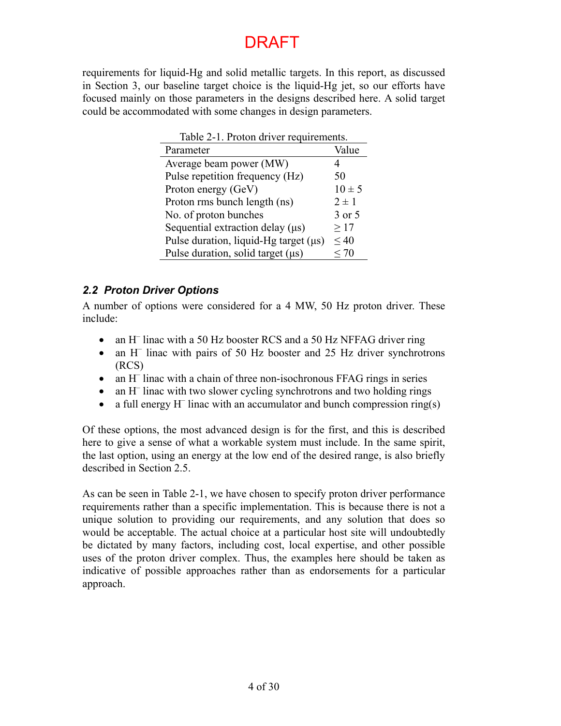requirements for liquid-Hg and solid metallic targets. In this report, as discussed in Section 3, our baseline target choice is the liquid-Hg jet, so our efforts have focused mainly on those parameters in the designs described here. A solid target could be accommodated with some changes in design parameters.

Table 2-1. Proton driver requirements.

| Parameter                                  | Value      |
|--------------------------------------------|------------|
| Average beam power (MW)                    |            |
| Pulse repetition frequency (Hz)            | 50         |
| Proton energy (GeV)                        | $10 \pm 5$ |
| Proton rms bunch length (ns)               | $2 \pm 1$  |
| No. of proton bunches                      | 3 or 5     |
| Sequential extraction delay $(\mu s)$      | >17        |
| Pulse duration, liquid-Hg target $(\mu s)$ | < 40       |
| Pulse duration, solid target $(\mu s)$     | < 70       |

### *2.2 Proton Driver Options*

A number of options were considered for a 4 MW, 50 Hz proton driver. These include:

- an H<sup>–</sup> linac with a 50 Hz booster RCS and a 50 Hz NFFAG driver ring
- an H<sup>–</sup> linac with pairs of 50 Hz booster and 25 Hz driver synchrotrons (RCS)
- an H<sup>-</sup> linac with a chain of three non-isochronous FFAG rings in series
- an H<sup>–</sup> linac with two slower cycling synchrotrons and two holding rings
- a full energy  $H^-$  linac with an accumulator and bunch compression ring(s)

Of these options, the most advanced design is for the first, and this is described here to give a sense of what a workable system must include. In the same spirit, the last option, using an energy at the low end of the desired range, is also briefly described in Section 2.5.

As can be seen in Table 2-1, we have chosen to specify proton driver performance requirements rather than a specific implementation. This is because there is not a unique solution to providing our requirements, and any solution that does so would be acceptable. The actual choice at a particular host site will undoubtedly be dictated by many factors, including cost, local expertise, and other possible uses of the proton driver complex. Thus, the examples here should be taken as indicative of possible approaches rather than as endorsements for a particular approach.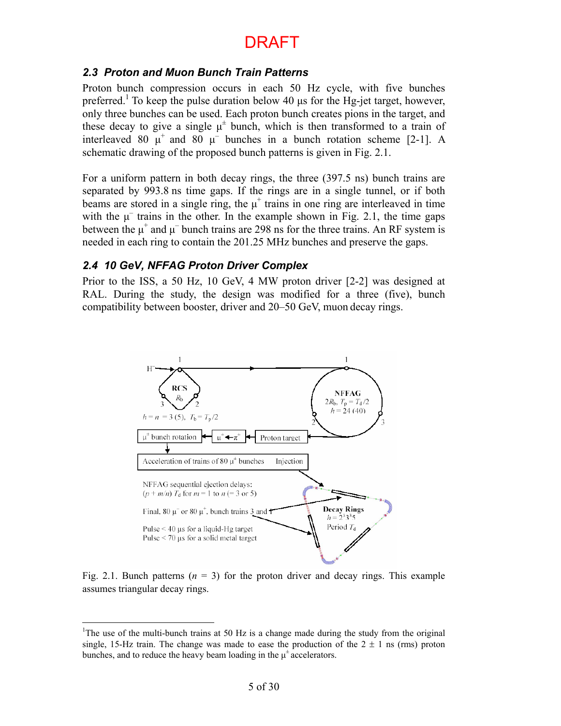#### *2.3 Proton and Muon Bunch Train Patterns*

Proton bunch compression occurs in each 50 Hz cycle, with five bunches preferred.<sup>1</sup> To keep the pulse duration below 40 us for the Hg-jet target, however, only three bunches can be used. Each proton bunch creates pions in the target, and these decay to give a single  $\mu^{\pm}$  bunch, which is then transformed to a train of interleaved 80  $\mu^+$  and 80  $\mu^-$  bunches in a bunch rotation scheme [2-1]. A schematic drawing of the proposed bunch patterns is given in Fig. 2.1.

For a uniform pattern in both decay rings, the three (397.5 ns) bunch trains are separated by 993.8 ns time gaps. If the rings are in a single tunnel, or if both beams are stored in a single ring, the  $\mu^+$  trains in one ring are interleaved in time with the  $\mu^-$  trains in the other. In the example shown in Fig. 2.1, the time gaps between the  $\mu^+$  and  $\mu^-$  bunch trains are 298 ns for the three trains. An RF system is needed in each ring to contain the 201.25 MHz bunches and preserve the gaps.

#### *2.4 10 GeV, NFFAG Proton Driver Complex*

 $\overline{a}$ 

Prior to the ISS, a 50 Hz, 10 GeV, 4 MW proton driver [2-2] was designed at RAL. During the study, the design was modified for a three (five), bunch compatibility between booster, driver and 20–50 GeV, muon decay rings.



Fig. 2.1. Bunch patterns  $(n = 3)$  for the proton driver and decay rings. This example assumes triangular decay rings.

<sup>&</sup>lt;sup>1</sup>The use of the multi-bunch trains at 50 Hz is a change made during the study from the original single, 15-Hz train. The change was made to ease the production of the  $2 \pm 1$  ns (rms) proton bunches, and to reduce the heavy beam loading in the  $\mu^{\pm}$  accelerators.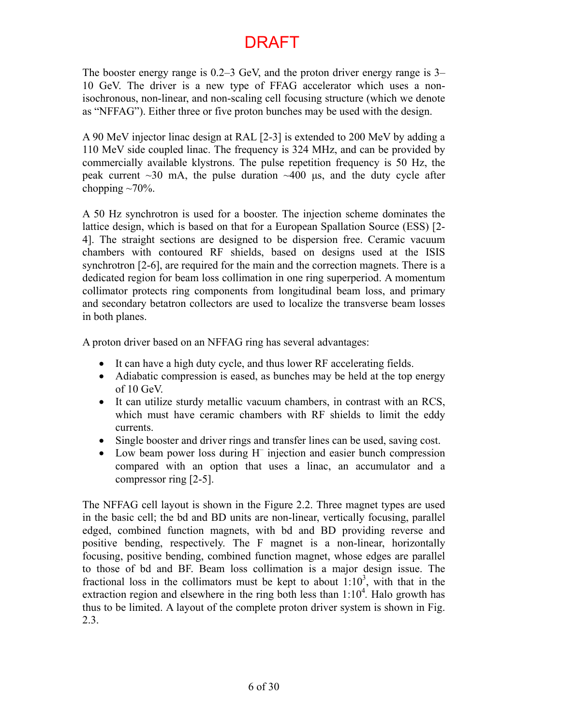The booster energy range is 0.2–3 GeV, and the proton driver energy range is 3– 10 GeV. The driver is a new type of FFAG accelerator which uses a nonisochronous, non-linear, and non-scaling cell focusing structure (which we denote as "NFFAG"). Either three or five proton bunches may be used with the design.

A 90 MeV injector linac design at RAL [2-3] is extended to 200 MeV by adding a 110 MeV side coupled linac. The frequency is 324 MHz, and can be provided by commercially available klystrons. The pulse repetition frequency is 50 Hz, the peak current  $\sim$ 30 mA, the pulse duration  $\sim$ 400 µs, and the duty cycle after chopping  $\sim$ 70%.

A 50 Hz synchrotron is used for a booster. The injection scheme dominates the lattice design, which is based on that for a European Spallation Source (ESS) [2- 4]. The straight sections are designed to be dispersion free. Ceramic vacuum chambers with contoured RF shields, based on designs used at the ISIS synchrotron [2-6], are required for the main and the correction magnets. There is a dedicated region for beam loss collimation in one ring superperiod. A momentum collimator protects ring components from longitudinal beam loss, and primary and secondary betatron collectors are used to localize the transverse beam losses in both planes.

A proton driver based on an NFFAG ring has several advantages:

- It can have a high duty cycle, and thus lower RF accelerating fields.
- Adiabatic compression is eased, as bunches may be held at the top energy of 10 GeV.
- It can utilize sturdy metallic vacuum chambers, in contrast with an RCS, which must have ceramic chambers with RF shields to limit the eddy currents.
- Single booster and driver rings and transfer lines can be used, saving cost.
- Low beam power loss during H<sup>-</sup> injection and easier bunch compression compared with an option that uses a linac, an accumulator and a compressor ring [2-5].

The NFFAG cell layout is shown in the Figure 2.2. Three magnet types are used in the basic cell; the bd and BD units are non-linear, vertically focusing, parallel edged, combined function magnets, with bd and BD providing reverse and positive bending, respectively. The F magnet is a non-linear, horizontally focusing, positive bending, combined function magnet, whose edges are parallel to those of bd and BF. Beam loss collimation is a major design issue. The fractional loss in the collimators must be kept to about  $1:10^3$ , with that in the extraction region and elsewhere in the ring both less than  $1:10<sup>4</sup>$ . Halo growth has thus to be limited. A layout of the complete proton driver system is shown in Fig. 2.3.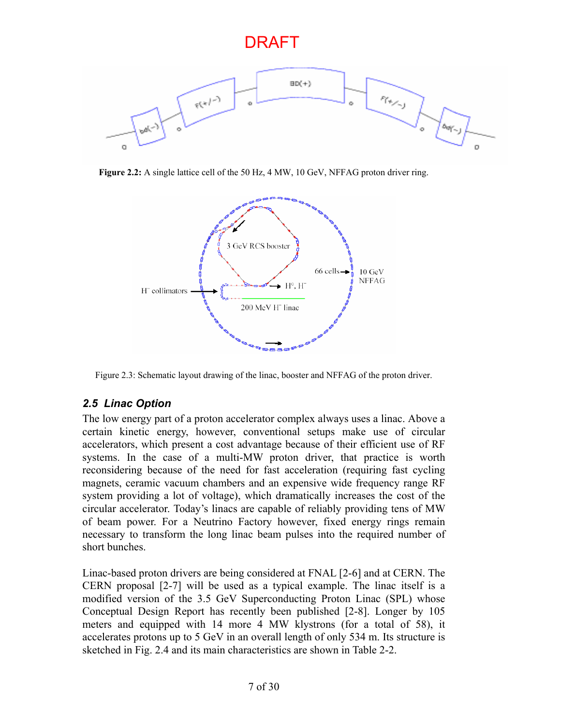

**Figure 2.2:** A single lattice cell of the 50 Hz, 4 MW, 10 GeV, NFFAG proton driver ring.



Figure 2.3: Schematic layout drawing of the linac, booster and NFFAG of the proton driver.

### *2.5 Linac Option*

The low energy part of a proton accelerator complex always uses a linac. Above a certain kinetic energy, however, conventional setups make use of circular accelerators, which present a cost advantage because of their efficient use of RF systems. In the case of a multi-MW proton driver, that practice is worth reconsidering because of the need for fast acceleration (requiring fast cycling magnets, ceramic vacuum chambers and an expensive wide frequency range RF system providing a lot of voltage), which dramatically increases the cost of the circular accelerator. Today's linacs are capable of reliably providing tens of MW of beam power. For a Neutrino Factory however, fixed energy rings remain necessary to transform the long linac beam pulses into the required number of short bunches.

Linac-based proton drivers are being considered at FNAL [2-6] and at CERN. The CERN proposal [2-7] will be used as a typical example. The linac itself is a modified version of the 3.5 GeV Superconducting Proton Linac (SPL) whose Conceptual Design Report has recently been published [2-8]. Longer by 105 meters and equipped with 14 more 4 MW klystrons (for a total of 58), it accelerates protons up to 5 GeV in an overall length of only 534 m. Its structure is sketched in Fig. 2.4 and its main characteristics are shown in Table 2-2.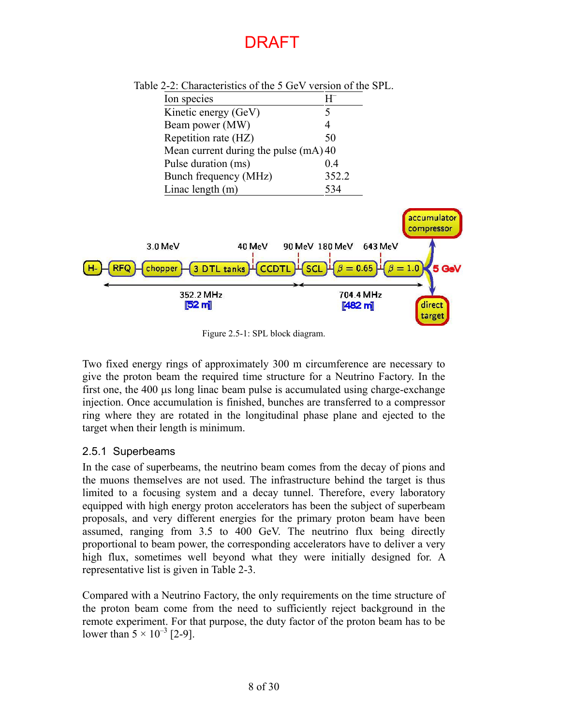|            | Kinetic energy (GeV)                  |                    |                                                  |                   |                           |
|------------|---------------------------------------|--------------------|--------------------------------------------------|-------------------|---------------------------|
|            | Beam power (MW)                       |                    | 4                                                |                   |                           |
|            | Repetition rate (HZ)                  |                    | 50                                               |                   |                           |
|            | Mean current during the pulse (mA) 40 |                    |                                                  |                   |                           |
|            | Pulse duration (ms)                   |                    | 0.4                                              |                   |                           |
|            | Bunch frequency (MHz)                 |                    | 352.2                                            |                   |                           |
|            | Linac length $(m)$                    |                    | 534                                              |                   |                           |
|            |                                       |                    |                                                  |                   |                           |
|            |                                       |                    |                                                  |                   | accumulator<br>compressor |
|            | 3.0 MeV                               | 40 MeV             | 90 MeV 180 MeV 643 MeV                           |                   |                           |
|            |                                       |                    |                                                  |                   |                           |
| <b>RFQ</b> | chopper                               | 3 DTL tanks HCCDTL | $SCL$ $\mathcal{H}$ $\beta = 0.65$ $\mathcal{H}$ |                   | 5 GeV<br>$\beta=1.0$      |
|            |                                       |                    |                                                  |                   |                           |
|            | 352.2 MHz                             |                    |                                                  | 704.4 MHz         | direct                    |
|            | 52 <sub>m</sub>                       |                    |                                                  | $[482 \text{ m}]$ | target                    |
|            |                                       |                    |                                                  |                   |                           |

Table 2-2: Characteristics of the 5 GeV version of the SPL.

Ion species H–

Figure 2.5-1: SPL block diagram.

Two fixed energy rings of approximately 300 m circumference are necessary to give the proton beam the required time structure for a Neutrino Factory. In the first one, the 400 us long linac beam pulse is accumulated using charge-exchange injection. Once accumulation is finished, bunches are transferred to a compressor ring where they are rotated in the longitudinal phase plane and ejected to the target when their length is minimum.

### 2.5.1 Superbeams

In the case of superbeams, the neutrino beam comes from the decay of pions and the muons themselves are not used. The infrastructure behind the target is thus limited to a focusing system and a decay tunnel. Therefore, every laboratory equipped with high energy proton accelerators has been the subject of superbeam proposals, and very different energies for the primary proton beam have been assumed, ranging from 3.5 to 400 GeV. The neutrino flux being directly proportional to beam power, the corresponding accelerators have to deliver a very high flux, sometimes well beyond what they were initially designed for. A representative list is given in Table 2-3.

Compared with a Neutrino Factory, the only requirements on the time structure of the proton beam come from the need to sufficiently reject background in the remote experiment. For that purpose, the duty factor of the proton beam has to be lower than  $5 \times 10^{-3}$  [2-9].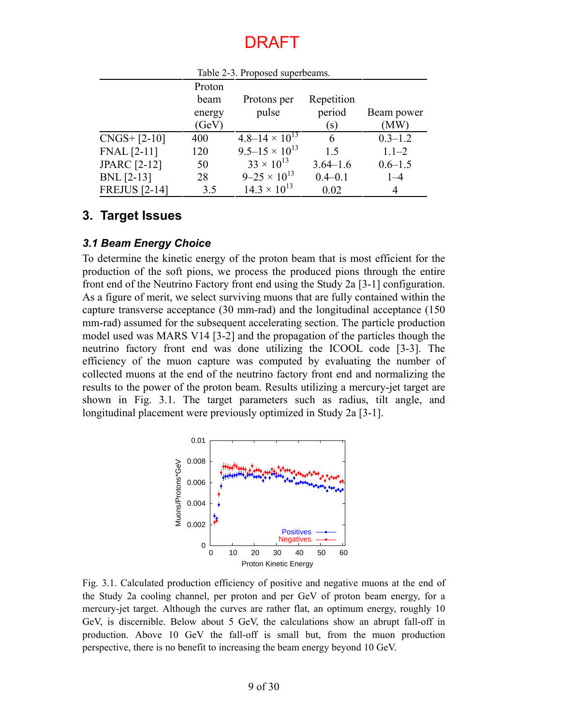| Table 2-3. Proposed superbeams. |                 |                           |               |                    |  |  |  |
|---------------------------------|-----------------|---------------------------|---------------|--------------------|--|--|--|
|                                 | Proton<br>beam  | Protons per               | Repetition    |                    |  |  |  |
|                                 | energy<br>(GeV) | pulse                     | period<br>(s) | Beam power<br>(MW) |  |  |  |
| $CNGS + [2-10]$                 | 400             | $4.8 - 14 \times 10^{13}$ | 6             | $0.3 - 1.2$        |  |  |  |
| <b>FNAL</b> [2-11]              | 120             | $9.5 - 15 \times 10^{13}$ | 15            | $1.1 - 2$          |  |  |  |
| <b>JPARC</b> [2-12]             | 50              | $33 \times 10^{13}$       | $3.64 - 1.6$  | $0.6 - 1.5$        |  |  |  |
| BNL [2-13]                      | 28              | $9 - 25 \times 10^{13}$   | $0.4 - 0.1$   | $1 - 4$            |  |  |  |
| <b>FREJUS</b> [2-14]            | 3.5             | $14.3 \times 10^{13}$     | 0.02          |                    |  |  |  |

### **3. Target Issues**

#### *3.1 Beam Energy Choice*

To determine the kinetic energy of the proton beam that is most efficient for the production of the soft pions, we process the produced pions through the entire front end of the Neutrino Factory front end using the Study 2a [3-1] configuration. As a figure of merit, we select surviving muons that are fully contained within the capture transverse acceptance (30 mm-rad) and the longitudinal acceptance (150 mm-rad) assumed for the subsequent accelerating section. The particle production model used was MARS V14 [3-2] and the propagation of the particles though the neutrino factory front end was done utilizing the ICOOL code [3-3]. The efficiency of the muon capture was computed by evaluating the number of collected muons at the end of the neutrino factory front end and normalizing the results to the power of the proton beam. Results utilizing a mercury-jet target are shown in Fig. 3.1. The target parameters such as radius, tilt angle, and longitudinal placement were previously optimized in Study 2a [3-1].



Fig. 3.1. Calculated production efficiency of positive and negative muons at the end of the Study 2a cooling channel, per proton and per GeV of proton beam energy, for a mercury-jet target. Although the curves are rather flat, an optimum energy, roughly 10 GeV, is discernible. Below about 5 GeV, the calculations show an abrupt fall-off in production. Above 10 GeV the fall-off is small but, from the muon production perspective, there is no benefit to increasing the beam energy beyond 10 GeV.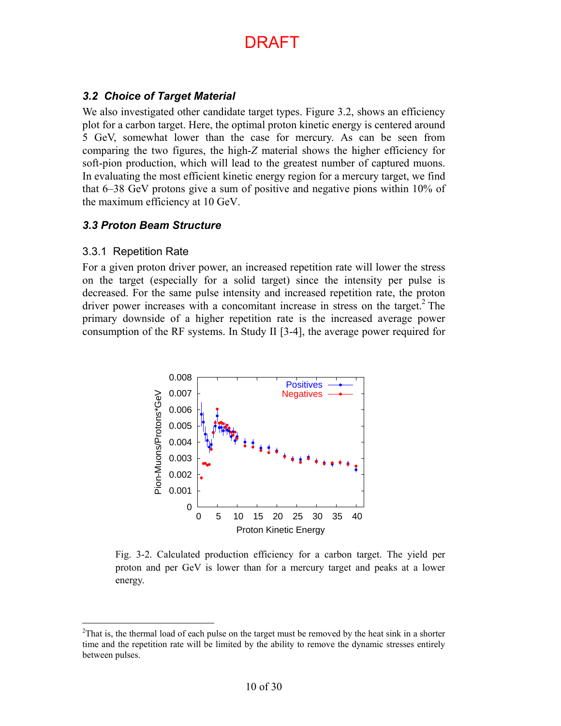#### *3.2 Choice of Target Material*

We also investigated other candidate target types. Figure 3.2, shows an efficiency plot for a carbon target. Here, the optimal proton kinetic energy is centered around 5 GeV, somewhat lower than the case for mercury. As can be seen from comparing the two figures, the high-*Z* material shows the higher efficiency for soft-pion production, which will lead to the greatest number of captured muons. In evaluating the most efficient kinetic energy region for a mercury target, we find that 6–38 GeV protons give a sum of positive and negative pions within 10% of the maximum efficiency at 10 GeV.

#### *3.3 Proton Beam Structure*

#### 3.3.1 Repetition Rate

 $\overline{a}$ 

For a given proton driver power, an increased repetition rate will lower the stress on the target (especially for a solid target) since the intensity per pulse is decreased. For the same pulse intensity and increased repetition rate, the proton driver power increases with a concomitant increase in stress on the target.<sup>2</sup> The primary downside of a higher repetition rate is the increased average power consumption of the RF systems. In Study II [3-4], the average power required for



Fig. 3-2. Calculated production efficiency for a carbon target. The yield per proton and per GeV is lower than for a mercury target and peaks at a lower energy.

 $2$ That is, the thermal load of each pulse on the target must be removed by the heat sink in a shorter time and the repetition rate will be limited by the ability to remove the dynamic stresses entirely between pulses.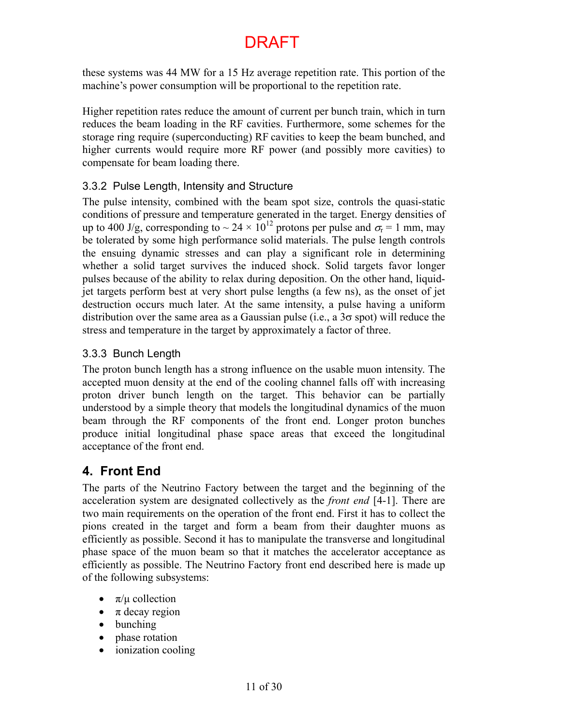these systems was 44 MW for a 15 Hz average repetition rate. This portion of the machine's power consumption will be proportional to the repetition rate.

Higher repetition rates reduce the amount of current per bunch train, which in turn reduces the beam loading in the RF cavities. Furthermore, some schemes for the storage ring require (superconducting) RF cavities to keep the beam bunched, and higher currents would require more RF power (and possibly more cavities) to compensate for beam loading there.

### 3.3.2 Pulse Length, Intensity and Structure

The pulse intensity, combined with the beam spot size, controls the quasi-static conditions of pressure and temperature generated in the target. Energy densities of up to 400 J/g, corresponding to  $\sim 24 \times 10^{12}$  protons per pulse and  $\sigma_{\rm r} = 1$  mm, may be tolerated by some high performance solid materials. The pulse length controls the ensuing dynamic stresses and can play a significant role in determining whether a solid target survives the induced shock. Solid targets favor longer pulses because of the ability to relax during deposition. On the other hand, liquidjet targets perform best at very short pulse lengths (a few ns), as the onset of jet destruction occurs much later. At the same intensity, a pulse having a uniform distribution over the same area as a Gaussian pulse (i.e., a  $3\sigma$  spot) will reduce the stress and temperature in the target by approximately a factor of three.

### 3.3.3 Bunch Length

The proton bunch length has a strong influence on the usable muon intensity. The accepted muon density at the end of the cooling channel falls off with increasing proton driver bunch length on the target. This behavior can be partially understood by a simple theory that models the longitudinal dynamics of the muon beam through the RF components of the front end. Longer proton bunches produce initial longitudinal phase space areas that exceed the longitudinal acceptance of the front end.

### **4. Front End**

The parts of the Neutrino Factory between the target and the beginning of the acceleration system are designated collectively as the *front end* [4-1]. There are two main requirements on the operation of the front end. First it has to collect the pions created in the target and form a beam from their daughter muons as efficiently as possible. Second it has to manipulate the transverse and longitudinal phase space of the muon beam so that it matches the accelerator acceptance as efficiently as possible. The Neutrino Factory front end described here is made up of the following subsystems:

- $\bullet$   $\pi/\mu$  collection
- $\bullet$   $\pi$  decay region
- bunching
- phase rotation
- ionization cooling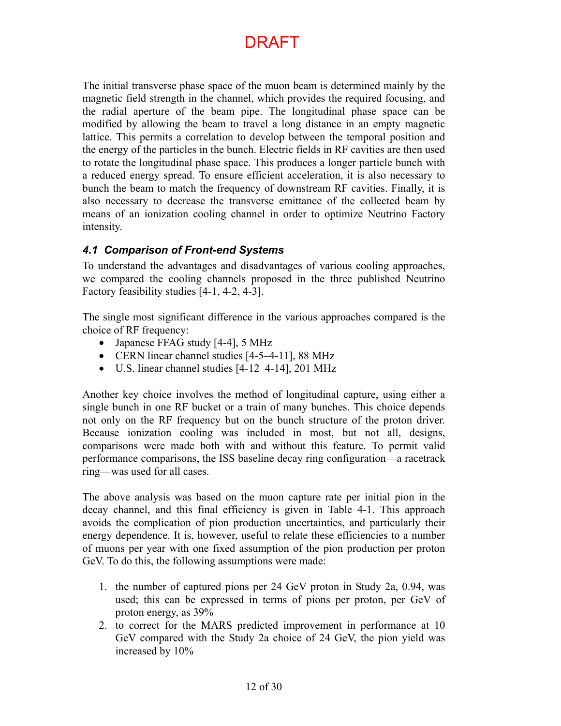The initial transverse phase space of the muon beam is determined mainly by the magnetic field strength in the channel, which provides the required focusing, and the radial aperture of the beam pipe. The longitudinal phase space can be modified by allowing the beam to travel a long distance in an empty magnetic lattice. This permits a correlation to develop between the temporal position and the energy of the particles in the bunch. Electric fields in RF cavities are then used to rotate the longitudinal phase space. This produces a longer particle bunch with a reduced energy spread. To ensure efficient acceleration, it is also necessary to bunch the beam to match the frequency of downstream RF cavities. Finally, it is also necessary to decrease the transverse emittance of the collected beam by means of an ionization cooling channel in order to optimize Neutrino Factory intensity.

### *4.1 Comparison of Front-end Systems*

To understand the advantages and disadvantages of various cooling approaches, we compared the cooling channels proposed in the three published Neutrino Factory feasibility studies [4-1, 4-2, 4-3].

The single most significant difference in the various approaches compared is the choice of RF frequency:

- Japanese FFAG study [4-4], 5 MHz
- CERN linear channel studies [4-5–4-11], 88 MHz
- U.S. linear channel studies [4-12–4-14], 201 MHz

Another key choice involves the method of longitudinal capture, using either a single bunch in one RF bucket or a train of many bunches. This choice depends not only on the RF frequency but on the bunch structure of the proton driver. Because ionization cooling was included in most, but not all, designs, comparisons were made both with and without this feature. To permit valid performance comparisons, the ISS baseline decay ring configuration—a racetrack ring—was used for all cases.

The above analysis was based on the muon capture rate per initial pion in the decay channel, and this final efficiency is given in Table 4-1. This approach avoids the complication of pion production uncertainties, and particularly their energy dependence. It is, however, useful to relate these efficiencies to a number of muons per year with one fixed assumption of the pion production per proton GeV. To do this, the following assumptions were made:

- 1. the number of captured pions per 24 GeV proton in Study 2a, 0.94, was used; this can be expressed in terms of pions per proton, per GeV of proton energy, as 39%
- 2. to correct for the MARS predicted improvement in performance at 10 GeV compared with the Study 2a choice of 24 GeV, the pion yield was increased by 10%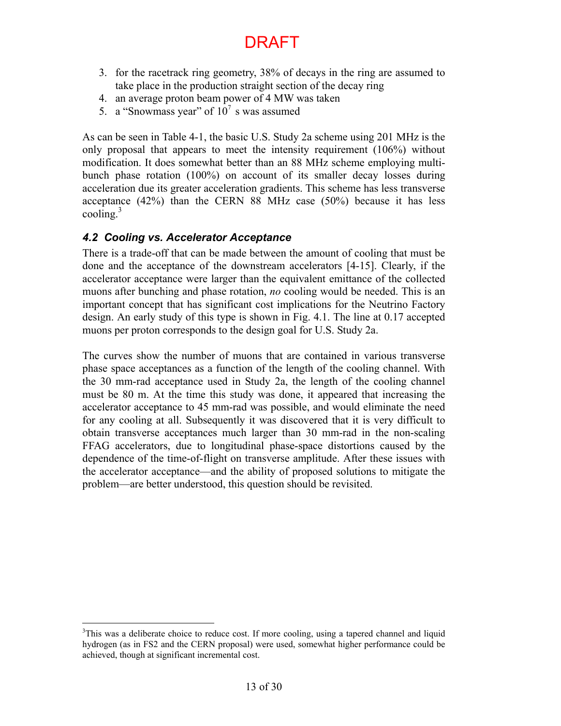- 3. for the racetrack ring geometry, 38% of decays in the ring are assumed to take place in the production straight section of the decay ring
- 4. an average proton beam power of 4 MW was taken
- 5. a "Snowmass year" of  $10^7$  s was assumed

As can be seen in Table 4-1, the basic U.S. Study 2a scheme using 201 MHz is the only proposal that appears to meet the intensity requirement (106%) without modification. It does somewhat better than an 88 MHz scheme employing multibunch phase rotation (100%) on account of its smaller decay losses during acceleration due its greater acceleration gradients. This scheme has less transverse acceptance (42%) than the CERN 88 MHz case (50%) because it has less cooling. $3$ 

### *4.2 Cooling vs. Accelerator Acceptance*

There is a trade-off that can be made between the amount of cooling that must be done and the acceptance of the downstream accelerators [4-15]. Clearly, if the accelerator acceptance were larger than the equivalent emittance of the collected muons after bunching and phase rotation, *no* cooling would be needed. This is an important concept that has significant cost implications for the Neutrino Factory design. An early study of this type is shown in Fig. 4.1. The line at 0.17 accepted muons per proton corresponds to the design goal for U.S. Study 2a.

The curves show the number of muons that are contained in various transverse phase space acceptances as a function of the length of the cooling channel. With the 30 mm-rad acceptance used in Study 2a, the length of the cooling channel must be 80 m. At the time this study was done, it appeared that increasing the accelerator acceptance to 45 mm-rad was possible, and would eliminate the need for any cooling at all. Subsequently it was discovered that it is very difficult to obtain transverse acceptances much larger than 30 mm-rad in the non-scaling FFAG accelerators, due to longitudinal phase-space distortions caused by the dependence of the time-of-flight on transverse amplitude. After these issues with the accelerator acceptance—and the ability of proposed solutions to mitigate the problem—are better understood, this question should be revisited.

 $\overline{a}$  $3$ This was a deliberate choice to reduce cost. If more cooling, using a tapered channel and liquid hydrogen (as in FS2 and the CERN proposal) were used, somewhat higher performance could be achieved, though at significant incremental cost.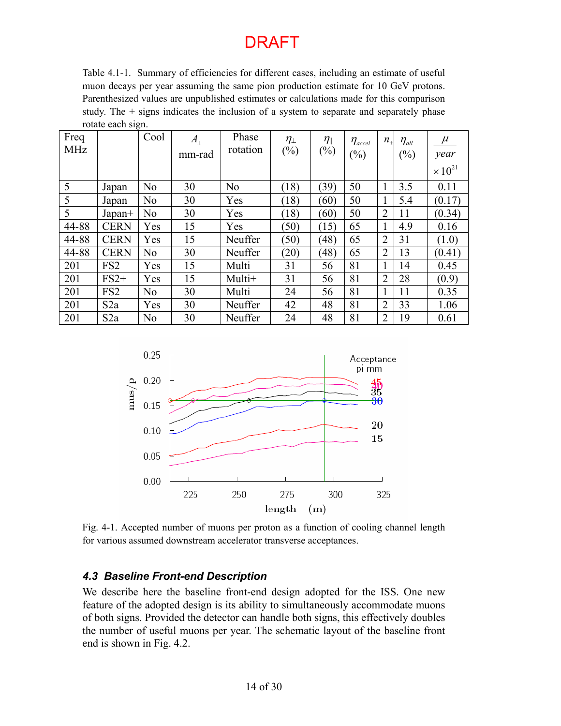Table 4.1-1. Summary of efficiencies for different cases, including an estimate of useful muon decays per year assuming the same pion production estimate for 10 GeV protons. Parenthesized values are unpublished estimates or calculations made for this comparison study. The  $+$  signs indicates the inclusion of a system to separate and separately phase rotate each sign.

| Freq<br><b>MHz</b> |                 | Cool           | $A_{\perp}$<br>mm-rad | Phase<br>rotation | $\eta_{\perp}$<br>(%) | $\eta_\parallel$<br>$(\%)$ | $\eta_{\scriptscriptstyle accel}$<br>$(\%)$ | $n_{+}$        | $\eta_{\textit{all}}$<br>$(\%)$ | $\mu$<br>year<br>$\times 10^{21}$ |
|--------------------|-----------------|----------------|-----------------------|-------------------|-----------------------|----------------------------|---------------------------------------------|----------------|---------------------------------|-----------------------------------|
| 5                  | Japan           | N <sub>o</sub> | 30                    | N <sub>o</sub>    | (18)                  | (39)                       | 50                                          |                | 3.5                             | 0.11                              |
| 5                  | Japan           | N <sub>0</sub> | 30                    | Yes               | (18)                  | (60)                       | 50                                          |                | 5.4                             | (0.17)                            |
| 5                  | $Japan+$        | N <sub>o</sub> | 30                    | Yes               | (18)                  | (60)                       | 50                                          | $\overline{2}$ | 11                              | (0.34)                            |
| 44-88              | <b>CERN</b>     | Yes            | 15                    | Yes               | (50)                  | (15)                       | 65                                          |                | 4.9                             | 0.16                              |
| 44-88              | <b>CERN</b>     | Yes            | 15                    | Neuffer           | (50)                  | (48)                       | 65                                          | $\overline{2}$ | 31                              | (1.0)                             |
| 44-88              | <b>CERN</b>     | N <sub>o</sub> | 30                    | Neuffer           | (20)                  | (48)                       | 65                                          | $\overline{2}$ | 13                              | (0.41)                            |
| 201                | FS <sub>2</sub> | Yes            | 15                    | Multi             | 31                    | 56                         | 81                                          |                | 14                              | 0.45                              |
| 201                | $FS2+$          | Yes            | 15                    | Multi+            | 31                    | 56                         | 81                                          | $\overline{2}$ | 28                              | (0.9)                             |
| 201                | FS <sub>2</sub> | N <sub>0</sub> | 30                    | Multi             | 24                    | 56                         | 81                                          |                | 11                              | 0.35                              |
| 201                | S2a             | Yes            | 30                    | Neuffer           | 42                    | 48                         | 81                                          | $\overline{2}$ | 33                              | 1.06                              |
| 201                | S2a             | N <sub>0</sub> | 30                    | Neuffer           | 24                    | 48                         | 81                                          | 2              | 19                              | 0.61                              |



Fig. 4-1. Accepted number of muons per proton as a function of cooling channel length for various assumed downstream accelerator transverse acceptances.

#### *4.3 Baseline Front-end Description*

We describe here the baseline front-end design adopted for the ISS. One new feature of the adopted design is its ability to simultaneously accommodate muons of both signs. Provided the detector can handle both signs, this effectively doubles the number of useful muons per year. The schematic layout of the baseline front end is shown in Fig. 4.2.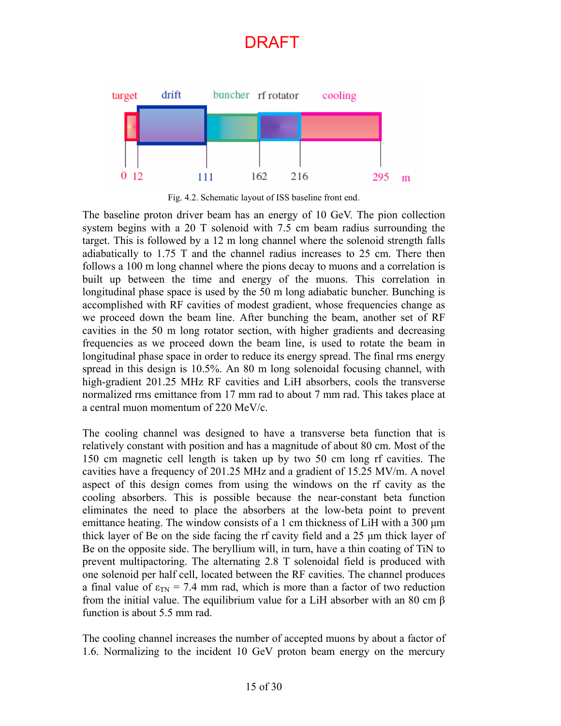

Fig. 4.2. Schematic layout of ISS baseline front end.

The baseline proton driver beam has an energy of 10 GeV. The pion collection system begins with a 20 T solenoid with 7.5 cm beam radius surrounding the target. This is followed by a 12 m long channel where the solenoid strength falls adiabatically to 1.75 T and the channel radius increases to 25 cm. There then follows a 100 m long channel where the pions decay to muons and a correlation is built up between the time and energy of the muons. This correlation in longitudinal phase space is used by the 50 m long adiabatic buncher. Bunching is accomplished with RF cavities of modest gradient, whose frequencies change as we proceed down the beam line. After bunching the beam, another set of RF cavities in the 50 m long rotator section, with higher gradients and decreasing frequencies as we proceed down the beam line, is used to rotate the beam in longitudinal phase space in order to reduce its energy spread. The final rms energy spread in this design is 10.5%. An 80 m long solenoidal focusing channel, with high-gradient 201.25 MHz RF cavities and LiH absorbers, cools the transverse normalized rms emittance from 17 mm rad to about 7 mm rad. This takes place at a central muon momentum of 220 MeV/c.

The cooling channel was designed to have a transverse beta function that is relatively constant with position and has a magnitude of about 80 cm. Most of the 150 cm magnetic cell length is taken up by two 50 cm long rf cavities. The cavities have a frequency of 201.25 MHz and a gradient of 15.25 MV/m. A novel aspect of this design comes from using the windows on the rf cavity as the cooling absorbers. This is possible because the near-constant beta function eliminates the need to place the absorbers at the low-beta point to prevent emittance heating. The window consists of a 1 cm thickness of LiH with a 300  $\mu$ m thick layer of Be on the side facing the rf cavity field and a 25 µm thick layer of Be on the opposite side. The beryllium will, in turn, have a thin coating of TiN to prevent multipactoring. The alternating 2.8 T solenoidal field is produced with one solenoid per half cell, located between the RF cavities. The channel produces a final value of  $\varepsilon_{TN}$  = 7.4 mm rad, which is more than a factor of two reduction from the initial value. The equilibrium value for a LiH absorber with an 80 cm  $\beta$ function is about 5.5 mm rad.

The cooling channel increases the number of accepted muons by about a factor of 1.6. Normalizing to the incident 10 GeV proton beam energy on the mercury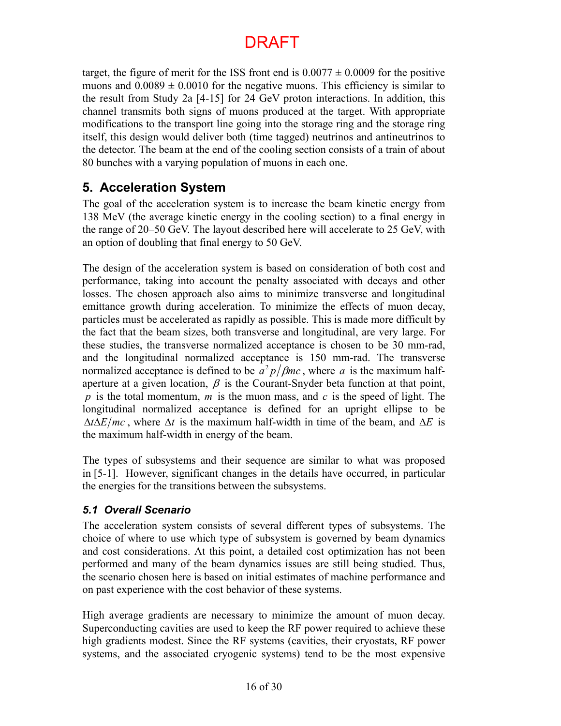target, the figure of merit for the ISS front end is  $0.0077 \pm 0.0009$  for the positive muons and  $0.0089 \pm 0.0010$  for the negative muons. This efficiency is similar to the result from Study 2a [4-15] for 24 GeV proton interactions. In addition, this channel transmits both signs of muons produced at the target. With appropriate modifications to the transport line going into the storage ring and the storage ring itself, this design would deliver both (time tagged) neutrinos and antineutrinos to the detector. The beam at the end of the cooling section consists of a train of about 80 bunches with a varying population of muons in each one.

### **5. Acceleration System**

The goal of the acceleration system is to increase the beam kinetic energy from 138 MeV (the average kinetic energy in the cooling section) to a final energy in the range of 20–50 GeV. The layout described here will accelerate to 25 GeV, with an option of doubling that final energy to 50 GeV.

The design of the acceleration system is based on consideration of both cost and performance, taking into account the penalty associated with decays and other losses. The chosen approach also aims to minimize transverse and longitudinal emittance growth during acceleration. To minimize the effects of muon decay, particles must be accelerated as rapidly as possible. This is made more difficult by the fact that the beam sizes, both transverse and longitudinal, are very large. For these studies, the transverse normalized acceptance is chosen to be 30 mm-rad, and the longitudinal normalized acceptance is 150 mm-rad. The transverse normalized acceptance is defined to be  $a^2 p / \beta mc$ , where *a* is the maximum halfaperture at a given location,  $\beta$  is the Courant-Snyder beta function at that point, *p* is the total momentum, *m* is the muon mass, and *c* is the speed of light. The longitudinal normalized acceptance is defined for an upright ellipse to be  $\Delta t \Delta E/mc$ , where  $\Delta t$  is the maximum half-width in time of the beam, and  $\Delta E$  is the maximum half-width in energy of the beam.

The types of subsystems and their sequence are similar to what was proposed in [5-1]. However, significant changes in the details have occurred, in particular the energies for the transitions between the subsystems.

### *5.1 Overall Scenario*

The acceleration system consists of several different types of subsystems. The choice of where to use which type of subsystem is governed by beam dynamics and cost considerations. At this point, a detailed cost optimization has not been performed and many of the beam dynamics issues are still being studied. Thus, the scenario chosen here is based on initial estimates of machine performance and on past experience with the cost behavior of these systems.

High average gradients are necessary to minimize the amount of muon decay. Superconducting cavities are used to keep the RF power required to achieve these high gradients modest. Since the RF systems (cavities, their cryostats, RF power systems, and the associated cryogenic systems) tend to be the most expensive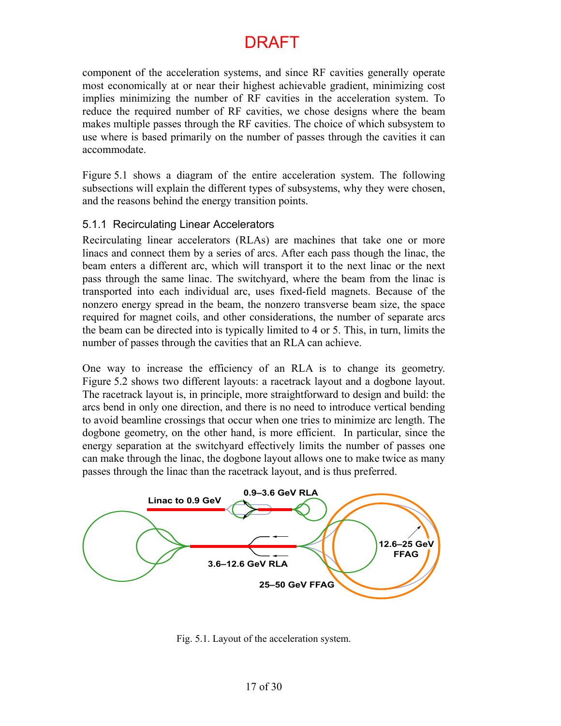component of the acceleration systems, and since RF cavities generally operate most economically at or near their highest achievable gradient, minimizing cost implies minimizing the number of RF cavities in the acceleration system. To reduce the required number of RF cavities, we chose designs where the beam makes multiple passes through the RF cavities. The choice of which subsystem to use where is based primarily on the number of passes through the cavities it can accommodate.

Figure 5.1 shows a diagram of the entire acceleration system. The following subsections will explain the different types of subsystems, why they were chosen, and the reasons behind the energy transition points.

#### 5.1.1 Recirculating Linear Accelerators

Recirculating linear accelerators (RLAs) are machines that take one or more linacs and connect them by a series of arcs. After each pass though the linac, the beam enters a different arc, which will transport it to the next linac or the next pass through the same linac. The switchyard, where the beam from the linac is transported into each individual arc, uses fixed-field magnets. Because of the nonzero energy spread in the beam, the nonzero transverse beam size, the space required for magnet coils, and other considerations, the number of separate arcs the beam can be directed into is typically limited to 4 or 5. This, in turn, limits the number of passes through the cavities that an RLA can achieve.

One way to increase the efficiency of an RLA is to change its geometry. Figure 5.2 shows two different layouts: a racetrack layout and a dogbone layout. The racetrack layout is, in principle, more straightforward to design and build: the arcs bend in only one direction, and there is no need to introduce vertical bending to avoid beamline crossings that occur when one tries to minimize arc length. The dogbone geometry, on the other hand, is more efficient. In particular, since the energy separation at the switchyard effectively limits the number of passes one can make through the linac, the dogbone layout allows one to make twice as many passes through the linac than the racetrack layout, and is thus preferred.



Fig. 5.1. Layout of the acceleration system.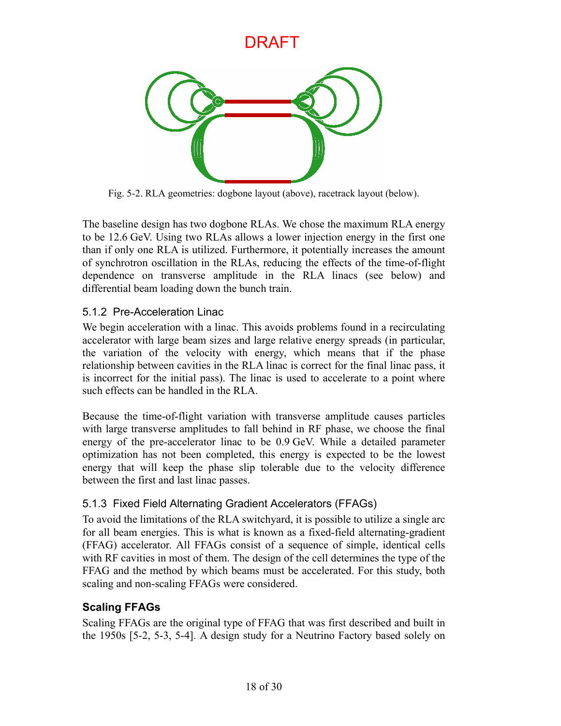

Fig. 5-2. RLA geometries: dogbone layout (above), racetrack layout (below).

The baseline design has two dogbone RLAs. We chose the maximum RLA energy to be 12.6 GeV. Using two RLAs allows a lower injection energy in the first one than if only one RLA is utilized. Furthermore, it potentially increases the amount of synchrotron oscillation in the RLAs, reducing the effects of the time-of-flight dependence on transverse amplitude in the RLA linacs (see below) and differential beam loading down the bunch train.

### 5.1.2 Pre-Acceleration Linac

We begin acceleration with a linac. This avoids problems found in a recirculating accelerator with large beam sizes and large relative energy spreads (in particular, the variation of the velocity with energy, which means that if the phase relationship between cavities in the RLA linac is correct for the final linac pass, it is incorrect for the initial pass). The linac is used to accelerate to a point where such effects can be handled in the RLA.

Because the time-of-flight variation with transverse amplitude causes particles with large transverse amplitudes to fall behind in RF phase, we choose the final energy of the pre-accelerator linac to be 0.9 GeV. While a detailed parameter optimization has not been completed, this energy is expected to be the lowest energy that will keep the phase slip tolerable due to the velocity difference between the first and last linac passes.

### 5.1.3 Fixed Field Alternating Gradient Accelerators (FFAGs)

To avoid the limitations of the RLA switchyard, it is possible to utilize a single arc for all beam energies. This is what is known as a fixed-field alternating-gradient (FFAG) accelerator. All FFAGs consist of a sequence of simple, identical cells with RF cavities in most of them. The design of the cell determines the type of the FFAG and the method by which beams must be accelerated. For this study, both scaling and non-scaling FFAGs were considered.

### **Scaling FFAGs**

Scaling FFAGs are the original type of FFAG that was first described and built in the 1950s [5-2, 5-3, 5-4]. A design study for a Neutrino Factory based solely on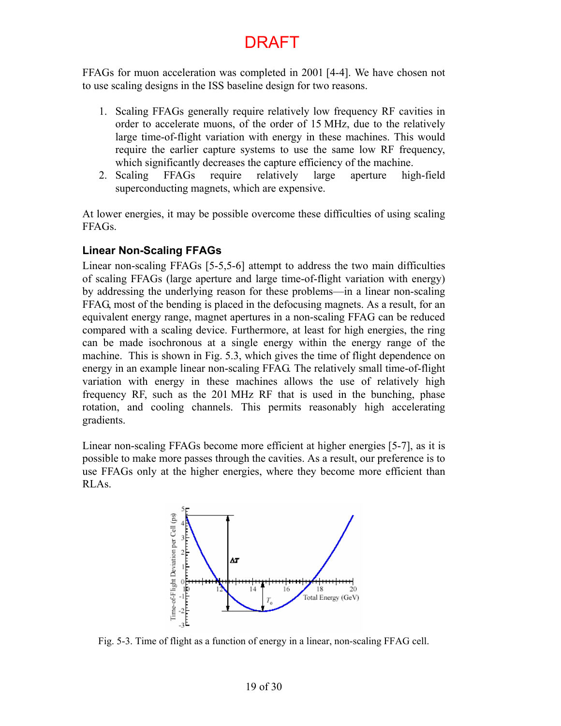FFAGs for muon acceleration was completed in 2001 [4-4]. We have chosen not to use scaling designs in the ISS baseline design for two reasons.

- 1. Scaling FFAGs generally require relatively low frequency RF cavities in order to accelerate muons, of the order of 15 MHz, due to the relatively large time-of-flight variation with energy in these machines. This would require the earlier capture systems to use the same low RF frequency, which significantly decreases the capture efficiency of the machine.
- 2. Scaling FFAGs require relatively large aperture high-field superconducting magnets, which are expensive.

At lower energies, it may be possible overcome these difficulties of using scaling FFAGs.

### **Linear Non-Scaling FFAGs**

Linear non-scaling FFAGs [5-5,5-6] attempt to address the two main difficulties of scaling FFAGs (large aperture and large time-of-flight variation with energy) by addressing the underlying reason for these problems—in a linear non-scaling FFAG, most of the bending is placed in the defocusing magnets. As a result, for an equivalent energy range, magnet apertures in a non-scaling FFAG can be reduced compared with a scaling device. Furthermore, at least for high energies, the ring can be made isochronous at a single energy within the energy range of the machine. This is shown in Fig. 5.3, which gives the time of flight dependence on energy in an example linear non-scaling FFAG. The relatively small time-of-flight variation with energy in these machines allows the use of relatively high frequency RF, such as the 201 MHz RF that is used in the bunching, phase rotation, and cooling channels. This permits reasonably high accelerating gradients.

Linear non-scaling FFAGs become more efficient at higher energies [5-7], as it is possible to make more passes through the cavities. As a result, our preference is to use FFAGs only at the higher energies, where they become more efficient than RLAs.



Fig. 5-3. Time of flight as a function of energy in a linear, non-scaling FFAG cell.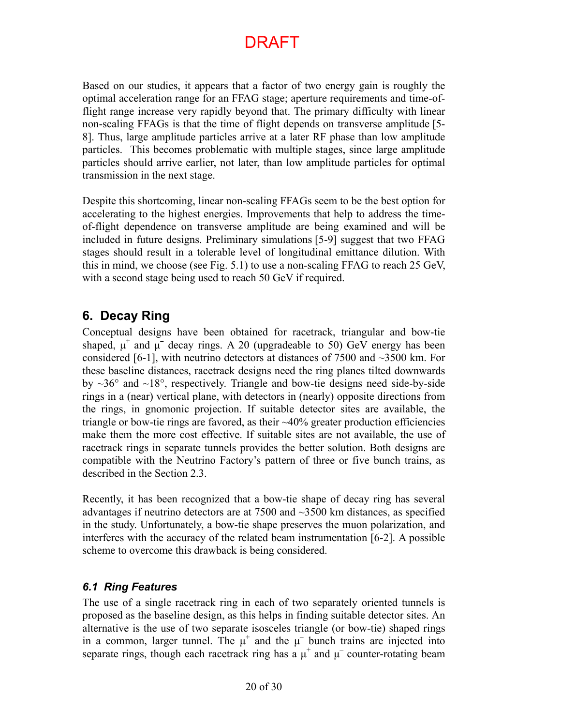Based on our studies, it appears that a factor of two energy gain is roughly the optimal acceleration range for an FFAG stage; aperture requirements and time-offlight range increase very rapidly beyond that. The primary difficulty with linear non-scaling FFAGs is that the time of flight depends on transverse amplitude [5- 8]. Thus, large amplitude particles arrive at a later RF phase than low amplitude particles. This becomes problematic with multiple stages, since large amplitude particles should arrive earlier, not later, than low amplitude particles for optimal transmission in the next stage.

Despite this shortcoming, linear non-scaling FFAGs seem to be the best option for accelerating to the highest energies. Improvements that help to address the timeof-flight dependence on transverse amplitude are being examined and will be included in future designs. Preliminary simulations [5-9] suggest that two FFAG stages should result in a tolerable level of longitudinal emittance dilution. With this in mind, we choose (see Fig. 5.1) to use a non-scaling FFAG to reach 25 GeV, with a second stage being used to reach 50 GeV if required.

### **6. Decay Ring**

Conceptual designs have been obtained for racetrack, triangular and bow-tie shaped,  $\mu^+$  and  $\mu^-$  decay rings. A 20 (upgradeable to 50) GeV energy has been considered [6-1], with neutrino detectors at distances of  $7500$  and  $\sim$ 3500 km. For these baseline distances, racetrack designs need the ring planes tilted downwards by  $\sim$ 36° and  $\sim$ 18°, respectively. Triangle and bow-tie designs need side-by-side rings in a (near) vertical plane, with detectors in (nearly) opposite directions from the rings, in gnomonic projection. If suitable detector sites are available, the triangle or bow-tie rings are favored, as their ~40% greater production efficiencies make them the more cost effective. If suitable sites are not available, the use of racetrack rings in separate tunnels provides the better solution. Both designs are compatible with the Neutrino Factory's pattern of three or five bunch trains, as described in the Section 2.3.

Recently, it has been recognized that a bow-tie shape of decay ring has several advantages if neutrino detectors are at 7500 and ~3500 km distances, as specified in the study. Unfortunately, a bow-tie shape preserves the muon polarization, and interferes with the accuracy of the related beam instrumentation [6-2]. A possible scheme to overcome this drawback is being considered.

### *6.1 Ring Features*

The use of a single racetrack ring in each of two separately oriented tunnels is proposed as the baseline design, as this helps in finding suitable detector sites. An alternative is the use of two separate isosceles triangle (or bow-tie) shaped rings in a common, larger tunnel. The  $\mu^+$  and the  $\mu^-$  bunch trains are injected into separate rings, though each racetrack ring has a  $\mu^+$  and  $\mu^-$  counter-rotating beam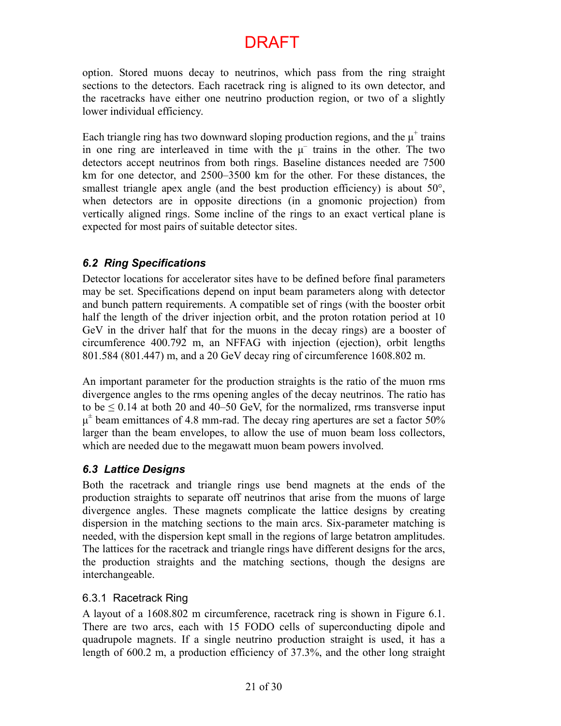option. Stored muons decay to neutrinos, which pass from the ring straight sections to the detectors. Each racetrack ring is aligned to its own detector, and the racetracks have either one neutrino production region, or two of a slightly lower individual efficiency.

Each triangle ring has two downward sloping production regions, and the  $\mu^+$  trains in one ring are interleaved in time with the  $\mu^-$  trains in the other. The two detectors accept neutrinos from both rings. Baseline distances needed are 7500 km for one detector, and 2500–3500 km for the other. For these distances, the smallest triangle apex angle (and the best production efficiency) is about 50<sup>°</sup>, when detectors are in opposite directions (in a gnomonic projection) from vertically aligned rings. Some incline of the rings to an exact vertical plane is expected for most pairs of suitable detector sites.

### *6.2 Ring Specifications*

Detector locations for accelerator sites have to be defined before final parameters may be set. Specifications depend on input beam parameters along with detector and bunch pattern requirements. A compatible set of rings (with the booster orbit half the length of the driver injection orbit, and the proton rotation period at 10 GeV in the driver half that for the muons in the decay rings) are a booster of circumference 400.792 m, an NFFAG with injection (ejection), orbit lengths 801.584 (801.447) m, and a 20 GeV decay ring of circumference 1608.802 m.

An important parameter for the production straights is the ratio of the muon rms divergence angles to the rms opening angles of the decay neutrinos. The ratio has to be  $\leq 0.14$  at both 20 and 40–50 GeV, for the normalized, rms transverse input  $\mu^{\pm}$  beam emittances of 4.8 mm-rad. The decay ring apertures are set a factor 50% larger than the beam envelopes, to allow the use of muon beam loss collectors, which are needed due to the megawatt muon beam powers involved.

### *6.3 Lattice Designs*

Both the racetrack and triangle rings use bend magnets at the ends of the production straights to separate off neutrinos that arise from the muons of large divergence angles. These magnets complicate the lattice designs by creating dispersion in the matching sections to the main arcs. Six-parameter matching is needed, with the dispersion kept small in the regions of large betatron amplitudes. The lattices for the racetrack and triangle rings have different designs for the arcs, the production straights and the matching sections, though the designs are interchangeable.

### 6.3.1 Racetrack Ring

A layout of a 1608.802 m circumference, racetrack ring is shown in Figure 6.1. There are two arcs, each with 15 FODO cells of superconducting dipole and quadrupole magnets. If a single neutrino production straight is used, it has a length of 600.2 m, a production efficiency of 37.3%, and the other long straight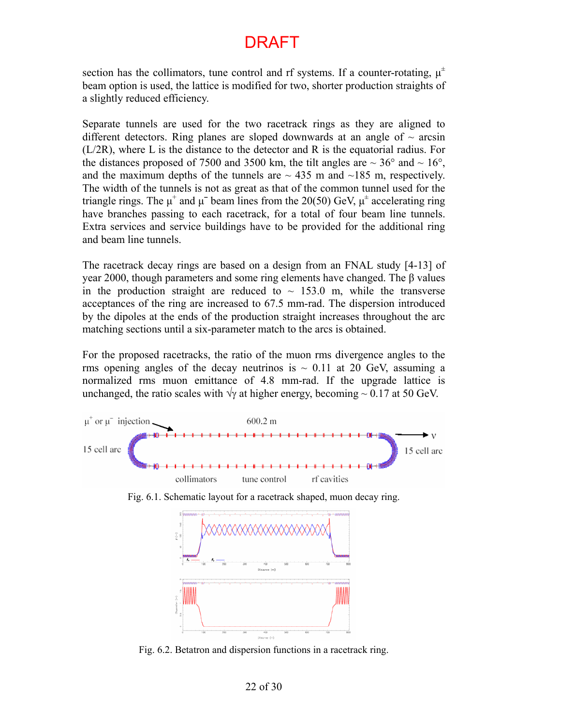section has the collimators, tune control and rf systems. If a counter-rotating,  $\mu^{\pm}$ beam option is used, the lattice is modified for two, shorter production straights of a slightly reduced efficiency.

Separate tunnels are used for the two racetrack rings as they are aligned to different detectors. Ring planes are sloped downwards at an angle of  $\sim$  arcsin  $(L/2R)$ , where L is the distance to the detector and R is the equatorial radius. For the distances proposed of 7500 and 3500 km, the tilt angles are  $\sim$  36 $^{\circ}$  and  $\sim$  16 $^{\circ}$ , and the maximum depths of the tunnels are  $\sim$  435 m and  $\sim$ 185 m, respectively. The width of the tunnels is not as great as that of the common tunnel used for the triangle rings. The  $\mu^+$  and  $\mu^-$  beam lines from the 20(50) GeV,  $\mu^{\pm}$  accelerating ring have branches passing to each racetrack, for a total of four beam line tunnels. Extra services and service buildings have to be provided for the additional ring and beam line tunnels.

The racetrack decay rings are based on a design from an FNAL study [4-13] of year 2000, though parameters and some ring elements have changed. The β values in the production straight are reduced to  $\sim$  153.0 m, while the transverse acceptances of the ring are increased to 67.5 mm-rad. The dispersion introduced by the dipoles at the ends of the production straight increases throughout the arc matching sections until a six-parameter match to the arcs is obtained.

For the proposed racetracks, the ratio of the muon rms divergence angles to the rms opening angles of the decay neutrinos is  $\sim 0.11$  at 20 GeV, assuming a normalized rms muon emittance of 4.8 mm-rad. If the upgrade lattice is unchanged, the ratio scales with  $\sqrt{\gamma}$  at higher energy, becoming ~ 0.17 at 50 GeV.





Fig. 6.1. Schematic layout for a racetrack shaped, muon decay ring.

Fig. 6.2. Betatron and dispersion functions in a racetrack ring.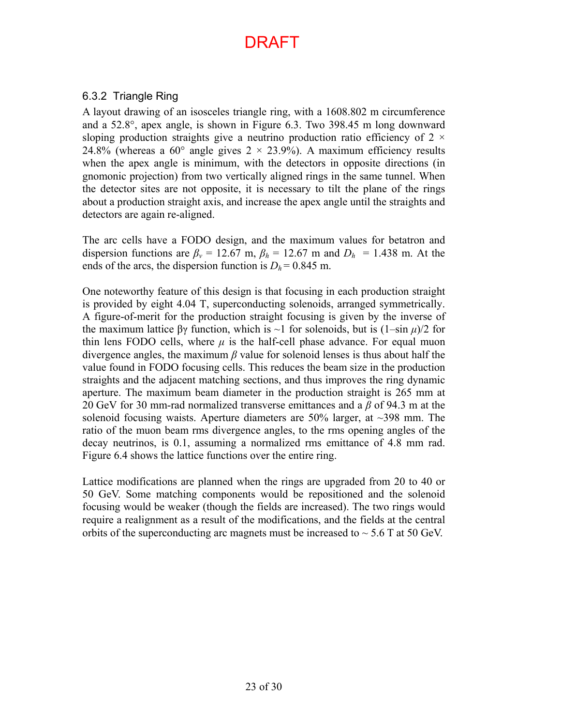### 6.3.2 Triangle Ring

A layout drawing of an isosceles triangle ring, with a 1608.802 m circumference and a 52.8°, apex angle, is shown in Figure 6.3. Two 398.45 m long downward sloping production straights give a neutrino production ratio efficiency of  $2 \times$ 24.8% (whereas a 60° angle gives  $2 \times 23.9$ %). A maximum efficiency results when the apex angle is minimum, with the detectors in opposite directions (in gnomonic projection) from two vertically aligned rings in the same tunnel. When the detector sites are not opposite, it is necessary to tilt the plane of the rings about a production straight axis, and increase the apex angle until the straights and detectors are again re-aligned.

The arc cells have a FODO design, and the maximum values for betatron and dispersion functions are  $\beta_v = 12.67$  m,  $\beta_h = 12.67$  m and  $D_h = 1.438$  m. At the ends of the arcs, the dispersion function is  $D_h$  = 0.845 m.

One noteworthy feature of this design is that focusing in each production straight is provided by eight 4.04 T, superconducting solenoids, arranged symmetrically. A figure-of-merit for the production straight focusing is given by the inverse of the maximum lattice  $\beta \gamma$  function, which is ~1 for solenoids, but is  $(1-\sin \mu)/2$  for thin lens FODO cells, where  $\mu$  is the half-cell phase advance. For equal muon divergence angles, the maximum *β* value for solenoid lenses is thus about half the value found in FODO focusing cells. This reduces the beam size in the production straights and the adjacent matching sections, and thus improves the ring dynamic aperture. The maximum beam diameter in the production straight is 265 mm at 20 GeV for 30 mm-rad normalized transverse emittances and a *β* of 94.3 m at the solenoid focusing waists. Aperture diameters are 50% larger, at  $\sim$ 398 mm. The ratio of the muon beam rms divergence angles, to the rms opening angles of the decay neutrinos, is 0.1, assuming a normalized rms emittance of 4.8 mm rad. Figure 6.4 shows the lattice functions over the entire ring.

Lattice modifications are planned when the rings are upgraded from 20 to 40 or 50 GeV. Some matching components would be repositioned and the solenoid focusing would be weaker (though the fields are increased). The two rings would require a realignment as a result of the modifications, and the fields at the central orbits of the superconducting arc magnets must be increased to  $\sim$  5.6 T at 50 GeV.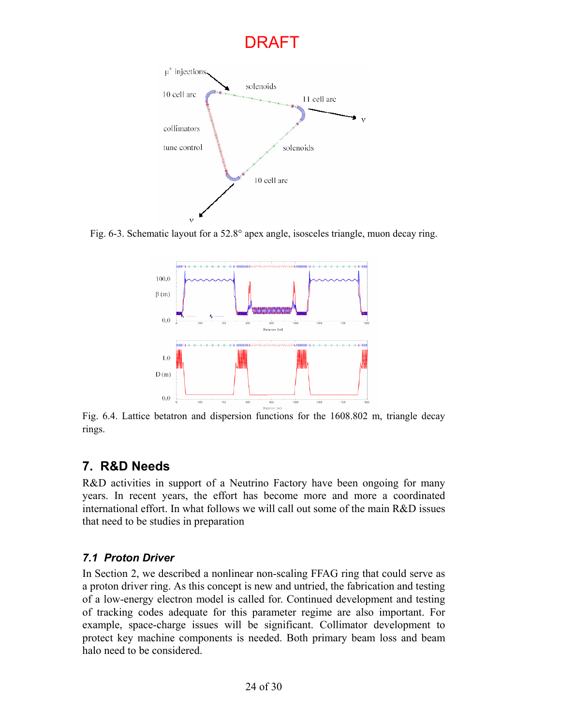

Fig. 6-3. Schematic layout for a 52.8° apex angle, isosceles triangle, muon decay ring.



Fig. 6.4. Lattice betatron and dispersion functions for the 1608.802 m, triangle decay rings.

### **7. R&D Needs**

R&D activities in support of a Neutrino Factory have been ongoing for many years. In recent years, the effort has become more and more a coordinated international effort. In what follows we will call out some of the main R&D issues that need to be studies in preparation

### *7.1 Proton Driver*

In Section 2, we described a nonlinear non-scaling FFAG ring that could serve as a proton driver ring. As this concept is new and untried, the fabrication and testing of a low-energy electron model is called for. Continued development and testing of tracking codes adequate for this parameter regime are also important. For example, space-charge issues will be significant. Collimator development to protect key machine components is needed. Both primary beam loss and beam halo need to be considered.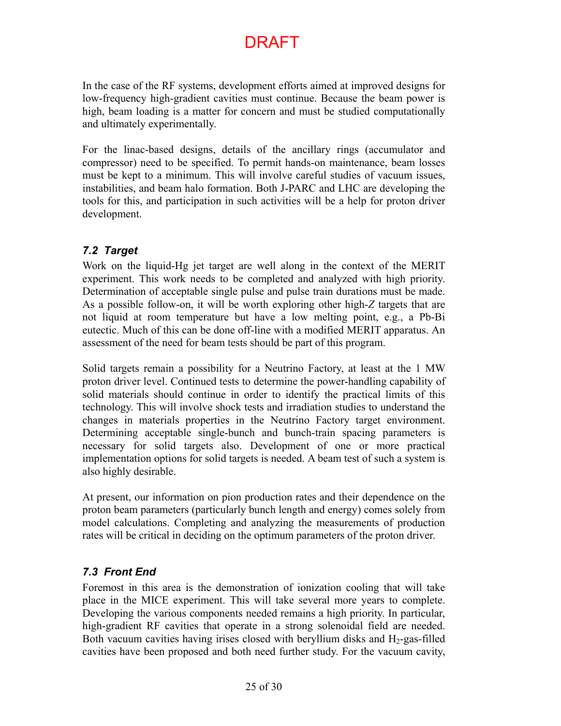In the case of the RF systems, development efforts aimed at improved designs for low-frequency high-gradient cavities must continue. Because the beam power is high, beam loading is a matter for concern and must be studied computationally and ultimately experimentally.

For the linac-based designs, details of the ancillary rings (accumulator and compressor) need to be specified. To permit hands-on maintenance, beam losses must be kept to a minimum. This will involve careful studies of vacuum issues, instabilities, and beam halo formation. Both J-PARC and LHC are developing the tools for this, and participation in such activities will be a help for proton driver development.

### *7.2 Target*

Work on the liquid-Hg jet target are well along in the context of the MERIT experiment. This work needs to be completed and analyzed with high priority. Determination of acceptable single pulse and pulse train durations must be made. As a possible follow-on, it will be worth exploring other high-*Z* targets that are not liquid at room temperature but have a low melting point, e.g., a Pb-Bi eutectic. Much of this can be done off-line with a modified MERIT apparatus. An assessment of the need for beam tests should be part of this program.

Solid targets remain a possibility for a Neutrino Factory, at least at the 1 MW proton driver level. Continued tests to determine the power-handling capability of solid materials should continue in order to identify the practical limits of this technology. This will involve shock tests and irradiation studies to understand the changes in materials properties in the Neutrino Factory target environment. Determining acceptable single-bunch and bunch-train spacing parameters is necessary for solid targets also. Development of one or more practical implementation options for solid targets is needed. A beam test of such a system is also highly desirable.

At present, our information on pion production rates and their dependence on the proton beam parameters (particularly bunch length and energy) comes solely from model calculations. Completing and analyzing the measurements of production rates will be critical in deciding on the optimum parameters of the proton driver.

### *7.3 Front End*

Foremost in this area is the demonstration of ionization cooling that will take place in the MICE experiment. This will take several more years to complete. Developing the various components needed remains a high priority. In particular, high-gradient RF cavities that operate in a strong solenoidal field are needed. Both vacuum cavities having irises closed with beryllium disks and  $H_2$ -gas-filled cavities have been proposed and both need further study. For the vacuum cavity,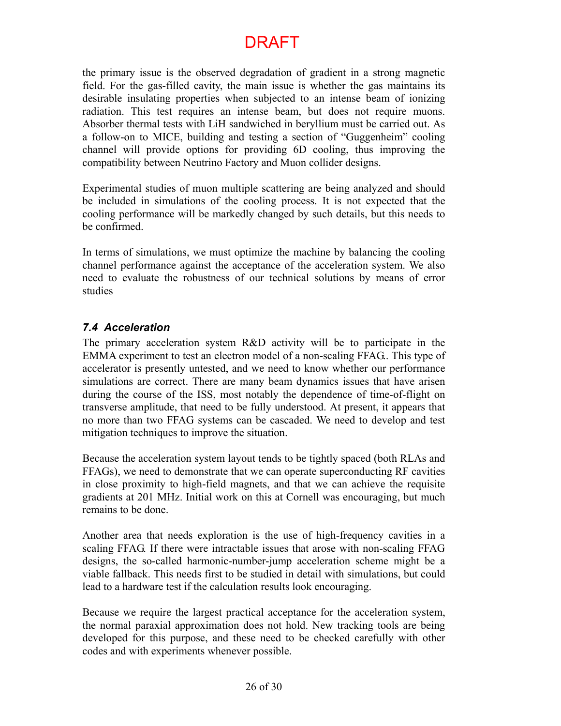the primary issue is the observed degradation of gradient in a strong magnetic field. For the gas-filled cavity, the main issue is whether the gas maintains its desirable insulating properties when subjected to an intense beam of ionizing radiation. This test requires an intense beam, but does not require muons. Absorber thermal tests with LiH sandwiched in beryllium must be carried out. As a follow-on to MICE, building and testing a section of "Guggenheim" cooling channel will provide options for providing 6D cooling, thus improving the compatibility between Neutrino Factory and Muon collider designs.

Experimental studies of muon multiple scattering are being analyzed and should be included in simulations of the cooling process. It is not expected that the cooling performance will be markedly changed by such details, but this needs to be confirmed.

In terms of simulations, we must optimize the machine by balancing the cooling channel performance against the acceptance of the acceleration system. We also need to evaluate the robustness of our technical solutions by means of error studies

### *7.4 Acceleration*

The primary acceleration system R&D activity will be to participate in the EMMA experiment to test an electron model of a non-scaling FFAG.. This type of accelerator is presently untested, and we need to know whether our performance simulations are correct. There are many beam dynamics issues that have arisen during the course of the ISS, most notably the dependence of time-of-flight on transverse amplitude, that need to be fully understood. At present, it appears that no more than two FFAG systems can be cascaded. We need to develop and test mitigation techniques to improve the situation.

Because the acceleration system layout tends to be tightly spaced (both RLAs and FFAGs), we need to demonstrate that we can operate superconducting RF cavities in close proximity to high-field magnets, and that we can achieve the requisite gradients at 201 MHz. Initial work on this at Cornell was encouraging, but much remains to be done.

Another area that needs exploration is the use of high-frequency cavities in a scaling FFAG. If there were intractable issues that arose with non-scaling FFAG designs, the so-called harmonic-number-jump acceleration scheme might be a viable fallback. This needs first to be studied in detail with simulations, but could lead to a hardware test if the calculation results look encouraging.

Because we require the largest practical acceptance for the acceleration system, the normal paraxial approximation does not hold. New tracking tools are being developed for this purpose, and these need to be checked carefully with other codes and with experiments whenever possible.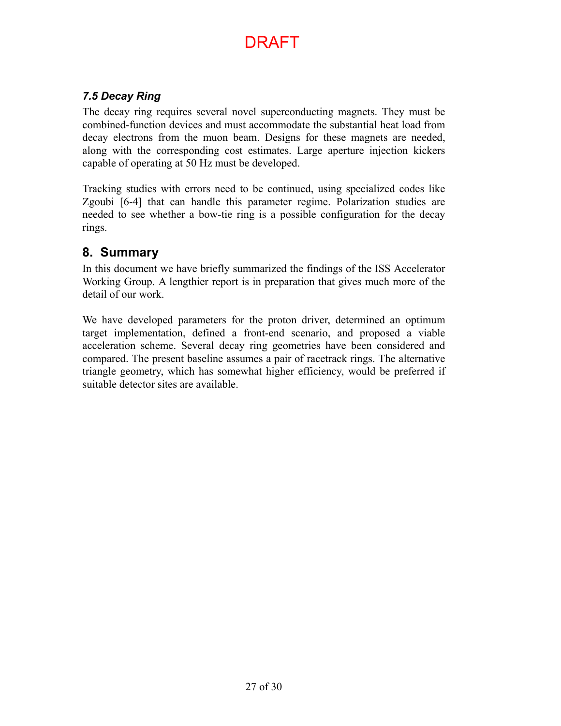### *7.5 Decay Ring*

The decay ring requires several novel superconducting magnets. They must be combined-function devices and must accommodate the substantial heat load from decay electrons from the muon beam. Designs for these magnets are needed, along with the corresponding cost estimates. Large aperture injection kickers capable of operating at 50 Hz must be developed.

Tracking studies with errors need to be continued, using specialized codes like Zgoubi [6-4] that can handle this parameter regime. Polarization studies are needed to see whether a bow-tie ring is a possible configuration for the decay rings.

### **8. Summary**

In this document we have briefly summarized the findings of the ISS Accelerator Working Group. A lengthier report is in preparation that gives much more of the detail of our work.

We have developed parameters for the proton driver, determined an optimum target implementation, defined a front-end scenario, and proposed a viable acceleration scheme. Several decay ring geometries have been considered and compared. The present baseline assumes a pair of racetrack rings. The alternative triangle geometry, which has somewhat higher efficiency, would be preferred if suitable detector sites are available.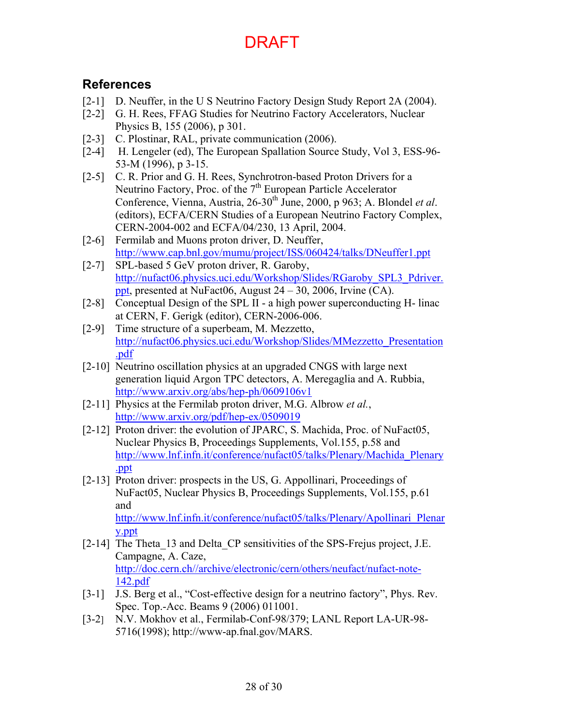### **References**

- [2-1] D. Neuffer, in the U S Neutrino Factory Design Study Report 2A (2004).
- [2-2] G. H. Rees, FFAG Studies for Neutrino Factory Accelerators, Nuclear Physics B, 155 (2006), p 301.
- [2-3] C. Plostinar, RAL, private communication (2006).
- [2-4] H. Lengeler (ed), The European Spallation Source Study, Vol 3, ESS-96-53-M (1996), p 3-15.
- [2-5] C. R. Prior and G. H. Rees, Synchrotron-based Proton Drivers for a Neutrino Factory, Proc. of the 7<sup>th</sup> European Particle Accelerator Conference, Vienna, Austria, 26-30th June, 2000, p 963; A. Blondel *et al*. (editors), ECFA/CERN Studies of a European Neutrino Factory Complex, CERN-2004-002 and ECFA/04/230, 13 April, 2004.
- [2-6] Fermilab and Muons proton driver, D. Neuffer, http://www.cap.bnl.gov/mumu/project/ISS/060424/talks/DNeuffer1.ppt
- [2-7] SPL-based 5 GeV proton driver, R. Garoby, http://nufact06.physics.uci.edu/Workshop/Slides/RGaroby\_SPL3\_Pdriver. ppt, presented at NuFact06, August 24 – 30, 2006, Irvine (CA).
- [2-8] Conceptual Design of the SPL II a high power superconducting H- linac at CERN, F. Gerigk (editor), CERN-2006-006.
- [2-9] Time structure of a superbeam, M. Mezzetto, http://nufact06.physics.uci.edu/Workshop/Slides/MMezzetto\_Presentation .pdf
- [2-10] Neutrino oscillation physics at an upgraded CNGS with large next generation liquid Argon TPC detectors, A. Meregaglia and A. Rubbia, http://www.arxiv.org/abs/hep-ph/0609106v1
- [2-11] Physics at the Fermilab proton driver, M.G. Albrow *et al.*, http://www.arxiv.org/pdf/hep-ex/0509019
- [2-12] Proton driver: the evolution of JPARC, S. Machida, Proc. of NuFact05, Nuclear Physics B, Proceedings Supplements, Vol.155, p.58 and http://www.lnf.infn.it/conference/nufact05/talks/Plenary/Machida\_Plenary .ppt
- [2-13] Proton driver: prospects in the US, G. Appollinari, Proceedings of NuFact05, Nuclear Physics B, Proceedings Supplements, Vol.155, p.61 and http://www.lnf.infn.it/conference/nufact05/talks/Plenary/Apollinari\_Plenar y.ppt
- [2-14] The Theta 13 and Delta CP sensitivities of the SPS-Frejus project, J.E. Campagne, A. Caze, http://doc.cern.ch//archive/electronic/cern/others/neufact/nufact-note-142.pdf
- [3-1] J.S. Berg et al., "Cost-effective design for a neutrino factory", Phys. Rev. Spec. Top.-Acc. Beams 9 (2006) 011001.
- [3-2] N.V. Mokhov et al., Fermilab-Conf-98/379; LANL Report LA-UR-98-5716(1998); http://www-ap.fnal.gov/MARS.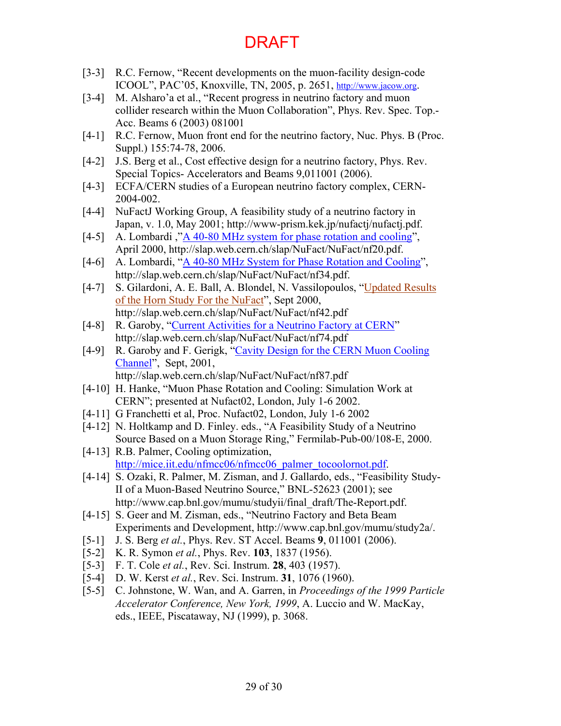- [3-3] R.C. Fernow, "Recent developments on the muon-facility design-code ICOOL", PAC'05, Knoxville, TN, 2005, p. 2651, http://www.jacow.org.
- [3-4] M. Alsharo'a et al., "Recent progress in neutrino factory and muon collider research within the Muon Collaboration", Phys. Rev. Spec. Top.- Acc. Beams 6 (2003) 081001
- [4-1] R.C. Fernow, Muon front end for the neutrino factory, Nuc. Phys. B (Proc. Suppl.) 155:74-78, 2006.
- [4-2] J.S. Berg et al., Cost effective design for a neutrino factory, Phys. Rev. Special Topics- Accelerators and Beams 9,011001 (2006).
- [4-3] ECFA/CERN studies of a European neutrino factory complex, CERN-2004-002.
- [4-4] NuFactJ Working Group, A feasibility study of a neutrino factory in Japan, v. 1.0, May 2001; http://www-prism.kek.jp/nufactj/nufactj.pdf.
- [4-5] A. Lombardi, " $\triangle$  40-80 MHz system for phase rotation and cooling", April 2000, http://slap.web.cern.ch/slap/NuFact/NuFact/nf20.pdf.
- [4-6] A. Lombardi, "A 40-80 MHz System for Phase Rotation and Cooling", http://slap.web.cern.ch/slap/NuFact/NuFact/nf34.pdf.
- [4-7] S. Gilardoni, A. E. Ball, A. Blondel, N. Vassilopoulos, "Updated Results of the Horn Study For the NuFact", Sept 2000, http://slap.web.cern.ch/slap/NuFact/NuFact/nf42.pdf
- [4-8] R. Garoby, "Current Activities for a Neutrino Factory at CERN" http://slap.web.cern.ch/slap/NuFact/NuFact/nf74.pdf
- [4-9] R. Garoby and F. Gerigk, "Cavity Design for the CERN Muon Cooling Channel", Sept, 2001,
- http://slap.web.cern.ch/slap/NuFact/NuFact/nf87.pdf [4-10] H. Hanke, "Muon Phase Rotation and Cooling: Simulation Work at
- CERN"; presented at Nufact02, London, July 1-6 2002.
- [4-11] G Franchetti et al, Proc. Nufact02, London, July 1-6 2002
- [4-12] N. Holtkamp and D. Finley. eds., "A Feasibility Study of a Neutrino Source Based on a Muon Storage Ring," Fermilab-Pub-00/108-E, 2000.
- [4-13] R.B. Palmer, Cooling optimization, http://mice.iit.edu/nfmcc06/nfmcc06\_palmer\_tocoolornot.pdf.
- [4-14] S. Ozaki, R. Palmer, M. Zisman, and J. Gallardo, eds., "Feasibility Study-II of a Muon-Based Neutrino Source," BNL-52623 (2001); see http://www.cap.bnl.gov/mumu/studyii/final\_draft/The-Report.pdf.
- [4-15] S. Geer and M. Zisman, eds., "Neutrino Factory and Beta Beam Experiments and Development, http://www.cap.bnl.gov/mumu/study2a/.
- [5-1] J. S. Berg *et al.*, Phys. Rev. ST Accel. Beams **9**, 011001 (2006).
- [5-2] K. R. Symon *et al.*, Phys. Rev. **103**, 1837 (1956).
- [5-3] F. T. Cole *et al.*, Rev. Sci. Instrum. **28**, 403 (1957).
- [5-4] D. W. Kerst *et al.*, Rev. Sci. Instrum. **31**, 1076 (1960).
- [5-5] C. Johnstone, W. Wan, and A. Garren, in *Proceedings of the 1999 Particle Accelerator Conference, New York, 1999*, A. Luccio and W. MacKay, eds., IEEE, Piscataway, NJ (1999), p. 3068.